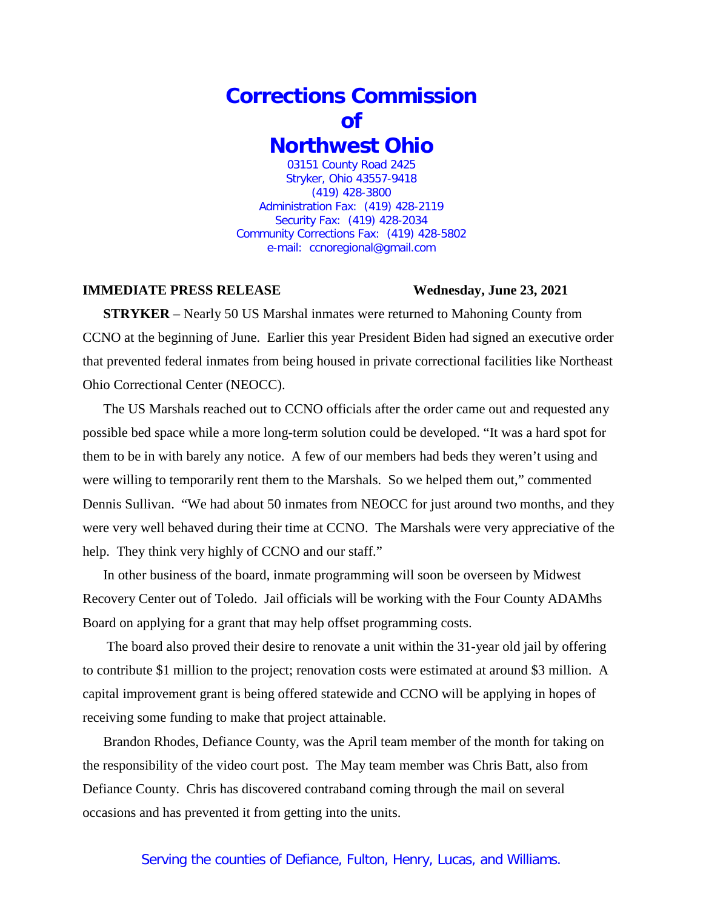## **Corrections Commission of Northwest Ohio** 03151 County Road 2425

Stryker, Ohio 43557-9418 (419) 428-3800 Administration Fax: (419) 428-2119 Security Fax: (419) 428-2034 Community Corrections Fax: (419) 428-5802 e-mail: ccnoregional@gmail.com

## **IMMEDIATE PRESS RELEASE Wednesday, June 23, 2021**

**STRYKER** – Nearly 50 US Marshal inmates were returned to Mahoning County from CCNO at the beginning of June. Earlier this year President Biden had signed an executive order that prevented federal inmates from being housed in private correctional facilities like Northeast Ohio Correctional Center (NEOCC).

The US Marshals reached out to CCNO officials after the order came out and requested any possible bed space while a more long-term solution could be developed. "It was a hard spot for them to be in with barely any notice. A few of our members had beds they weren't using and were willing to temporarily rent them to the Marshals. So we helped them out," commented Dennis Sullivan. "We had about 50 inmates from NEOCC for just around two months, and they were very well behaved during their time at CCNO. The Marshals were very appreciative of the help. They think very highly of CCNO and our staff."

In other business of the board, inmate programming will soon be overseen by Midwest Recovery Center out of Toledo. Jail officials will be working with the Four County ADAMhs Board on applying for a grant that may help offset programming costs.

The board also proved their desire to renovate a unit within the 31-year old jail by offering to contribute \$1 million to the project; renovation costs were estimated at around \$3 million. A capital improvement grant is being offered statewide and CCNO will be applying in hopes of receiving some funding to make that project attainable.

Brandon Rhodes, Defiance County, was the April team member of the month for taking on the responsibility of the video court post. The May team member was Chris Batt, also from Defiance County. Chris has discovered contraband coming through the mail on several occasions and has prevented it from getting into the units.

## Serving the counties of Defiance, Fulton, Henry, Lucas, and Williams.